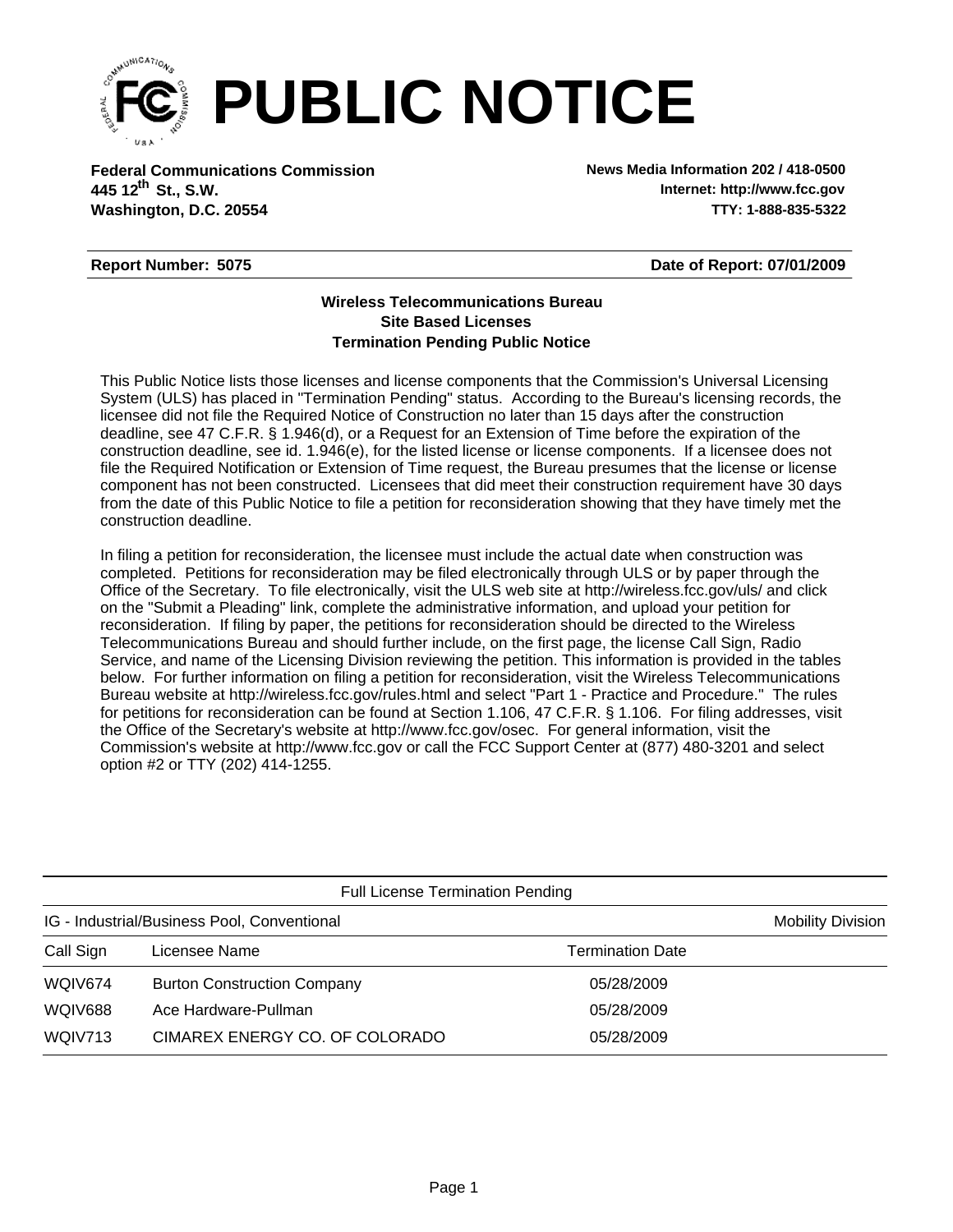

**Federal Communications Commission News Media Information 202 / 418-0500 Washington, D.C. 20554 TTY: 1-888-835-5322 445 12<sup>th</sup> St., S.W.** 

**Internet: http://www.fcc.gov**

## **Report Number: 5075**

**Date of Report: 07/01/2009**

## **Wireless Telecommunications Bureau Site Based Licenses Termination Pending Public Notice**

This Public Notice lists those licenses and license components that the Commission's Universal Licensing System (ULS) has placed in "Termination Pending" status. According to the Bureau's licensing records, the licensee did not file the Required Notice of Construction no later than 15 days after the construction deadline, see 47 C.F.R. § 1.946(d), or a Request for an Extension of Time before the expiration of the construction deadline, see id. 1.946(e), for the listed license or license components. If a licensee does not file the Required Notification or Extension of Time request, the Bureau presumes that the license or license component has not been constructed. Licensees that did meet their construction requirement have 30 days from the date of this Public Notice to file a petition for reconsideration showing that they have timely met the construction deadline.

In filing a petition for reconsideration, the licensee must include the actual date when construction was completed. Petitions for reconsideration may be filed electronically through ULS or by paper through the Office of the Secretary. To file electronically, visit the ULS web site at http://wireless.fcc.gov/uls/ and click on the "Submit a Pleading" link, complete the administrative information, and upload your petition for reconsideration. If filing by paper, the petitions for reconsideration should be directed to the Wireless Telecommunications Bureau and should further include, on the first page, the license Call Sign, Radio Service, and name of the Licensing Division reviewing the petition. This information is provided in the tables below. For further information on filing a petition for reconsideration, visit the Wireless Telecommunications Bureau website at http://wireless.fcc.gov/rules.html and select "Part 1 - Practice and Procedure." The rules for petitions for reconsideration can be found at Section 1.106, 47 C.F.R. § 1.106. For filing addresses, visit the Office of the Secretary's website at http://www.fcc.gov/osec. For general information, visit the Commission's website at http://www.fcc.gov or call the FCC Support Center at (877) 480-3201 and select option #2 or TTY (202) 414-1255.

| <b>Full License Termination Pending</b>     |                                    |                         |                          |  |  |
|---------------------------------------------|------------------------------------|-------------------------|--------------------------|--|--|
| IG - Industrial/Business Pool, Conventional |                                    |                         | <b>Mobility Division</b> |  |  |
| Call Sign                                   | Licensee Name                      | <b>Termination Date</b> |                          |  |  |
| WQIV674                                     | <b>Burton Construction Company</b> | 05/28/2009              |                          |  |  |
| <b>WQIV688</b>                              | Ace Hardware-Pullman               | 05/28/2009              |                          |  |  |
| WQIV713                                     | CIMAREX ENERGY CO. OF COLORADO     | 05/28/2009              |                          |  |  |